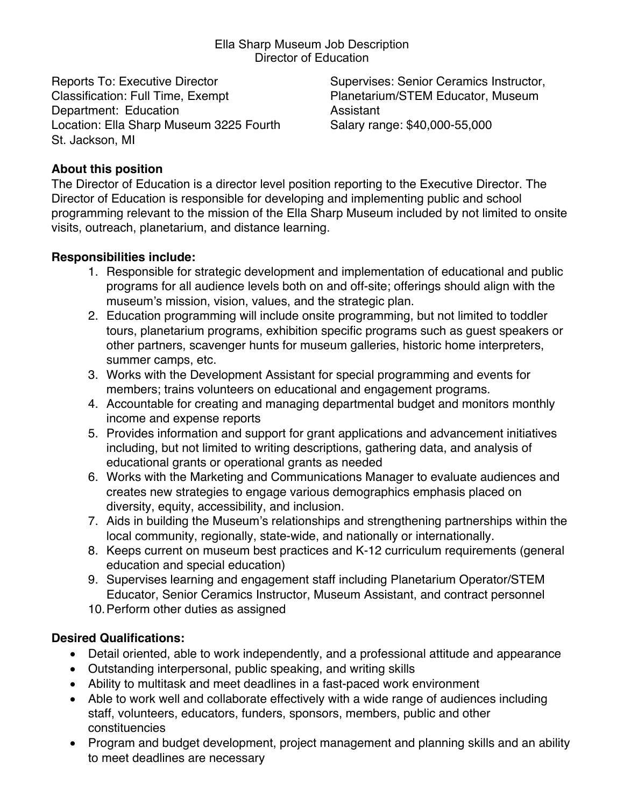Ella Sharp Museum Job Description Director of Education

Reports To: Executive Director Classification: Full Time, Exempt Department: Education Location: Ella Sharp Museum 3225 Fourth St. Jackson, MI

Supervises: Senior Ceramics Instructor, Planetarium/STEM Educator, Museum Assistant Salary range: \$40,000-55,000

## **About this position**

The Director of Education is a director level position reporting to the Executive Director. The Director of Education is responsible for developing and implementing public and school programming relevant to the mission of the Ella Sharp Museum included by not limited to onsite visits, outreach, planetarium, and distance learning.

#### **Responsibilities include:**

- 1. Responsible for strategic development and implementation of educational and public programs for all audience levels both on and off-site; offerings should align with the museum's mission, vision, values, and the strategic plan.
- 2. Education programming will include onsite programming, but not limited to toddler tours, planetarium programs, exhibition specific programs such as guest speakers or other partners, scavenger hunts for museum galleries, historic home interpreters, summer camps, etc.
- 3. Works with the Development Assistant for special programming and events for members; trains volunteers on educational and engagement programs.
- 4. Accountable for creating and managing departmental budget and monitors monthly income and expense reports
- 5. Provides information and support for grant applications and advancement initiatives including, but not limited to writing descriptions, gathering data, and analysis of educational grants or operational grants as needed
- 6. Works with the Marketing and Communications Manager to evaluate audiences and creates new strategies to engage various demographics emphasis placed on diversity, equity, accessibility, and inclusion.
- 7. Aids in building the Museum's relationships and strengthening partnerships within the local community, regionally, state-wide, and nationally or internationally.
- 8. Keeps current on museum best practices and K-12 curriculum requirements (general education and special education)
- 9. Supervises learning and engagement staff including Planetarium Operator/STEM Educator, Senior Ceramics Instructor, Museum Assistant, and contract personnel
- 10.Perform other duties as assigned

## **Desired Qualifications:**

- Detail oriented, able to work independently, and a professional attitude and appearance
- Outstanding interpersonal, public speaking, and writing skills
- Ability to multitask and meet deadlines in a fast-paced work environment
- Able to work well and collaborate effectively with a wide range of audiences including staff, volunteers, educators, funders, sponsors, members, public and other constituencies
- Program and budget development, project management and planning skills and an ability to meet deadlines are necessary